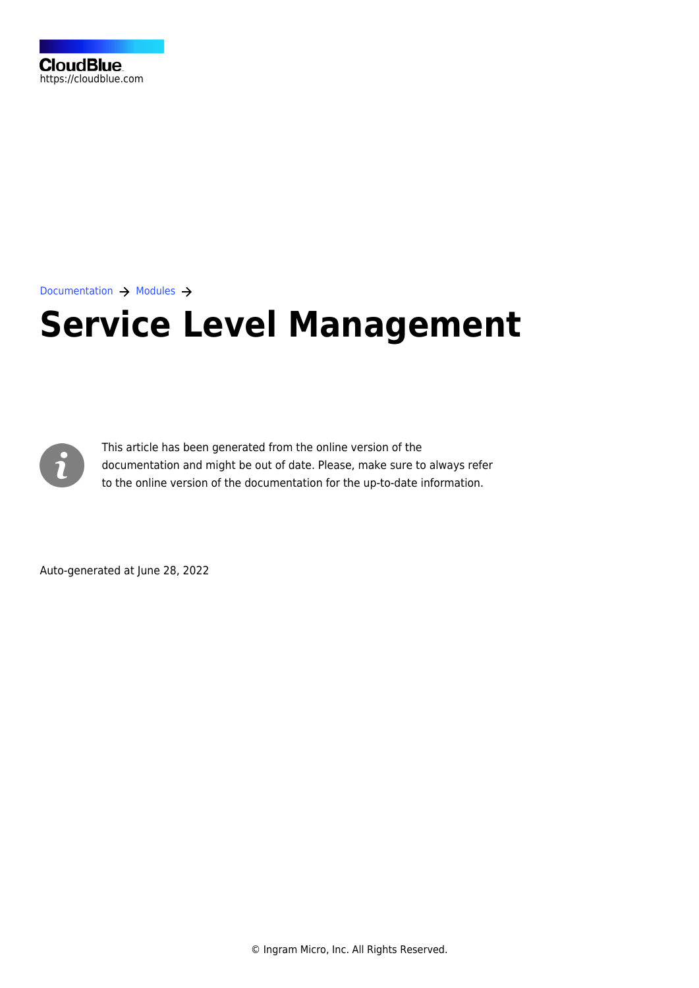

[Documentation](https://connect.cloudblue.com/documentation)  $\rightarrow$  [Modules](https://connect.cloudblue.com/community/modules/)  $\rightarrow$ 

# **[Service Level Management](https://connect.cloudblue.com/community/modules/service-level-management/)**



This article has been generated from the online version of the documentation and might be out of date. Please, make sure to always refer to the online version of the documentation for the up-to-date information.

Auto-generated at June 28, 2022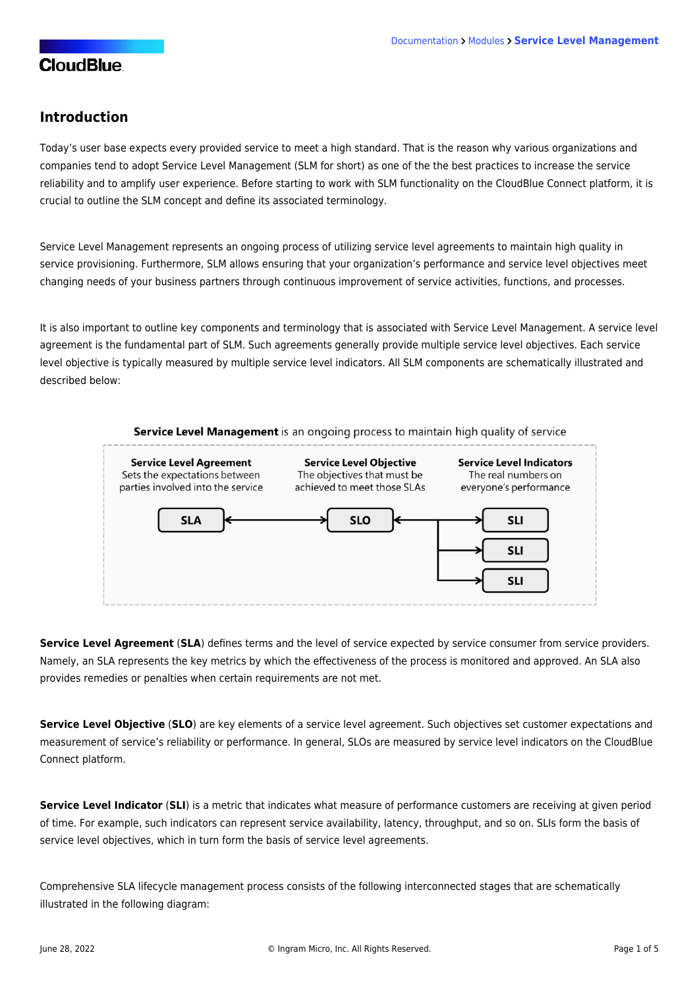#### **Introduction**

Today's user base expects every provided service to meet a high standard. That is the reason why various organizations and companies tend to adopt Service Level Management (SLM for short) as one of the the best practices to increase the service reliability and to amplify user experience. Before starting to work with SLM functionality on the CloudBlue Connect platform, it is crucial to outline the SLM concept and define its associated terminology.

Service Level Management represents an ongoing process of utilizing service level agreements to maintain high quality in service provisioning. Furthermore, SLM allows ensuring that your organization's performance and service level objectives meet changing needs of your business partners through continuous improvement of service activities, functions, and processes.

It is also important to outline key components and terminology that is associated with Service Level Management. A service level agreement is the fundamental part of SLM. Such agreements generally provide multiple service level objectives. Each service level objective is typically measured by multiple service level indicators. All SLM components are schematically illustrated and described below:



**Service Level Agreement** (**SLA**) defines terms and the level of service expected by service consumer from service providers. Namely, an SLA represents the key metrics by which the effectiveness of the process is monitored and approved. An SLA also provides remedies or penalties when certain requirements are not met.

**Service Level Objective** (**SLO**) are key elements of a service level agreement. Such objectives set customer expectations and measurement of service's reliability or performance. In general, SLOs are measured by service level indicators on the CloudBlue Connect platform.

**Service Level Indicator** (**SLI**) is a metric that indicates what measure of performance customers are receiving at given period of time. For example, such indicators can represent service availability, latency, throughput, and so on. SLIs form the basis of service level objectives, which in turn form the basis of service level agreements.

Comprehensive SLA lifecycle management process consists of the following interconnected stages that are schematically illustrated in the following diagram: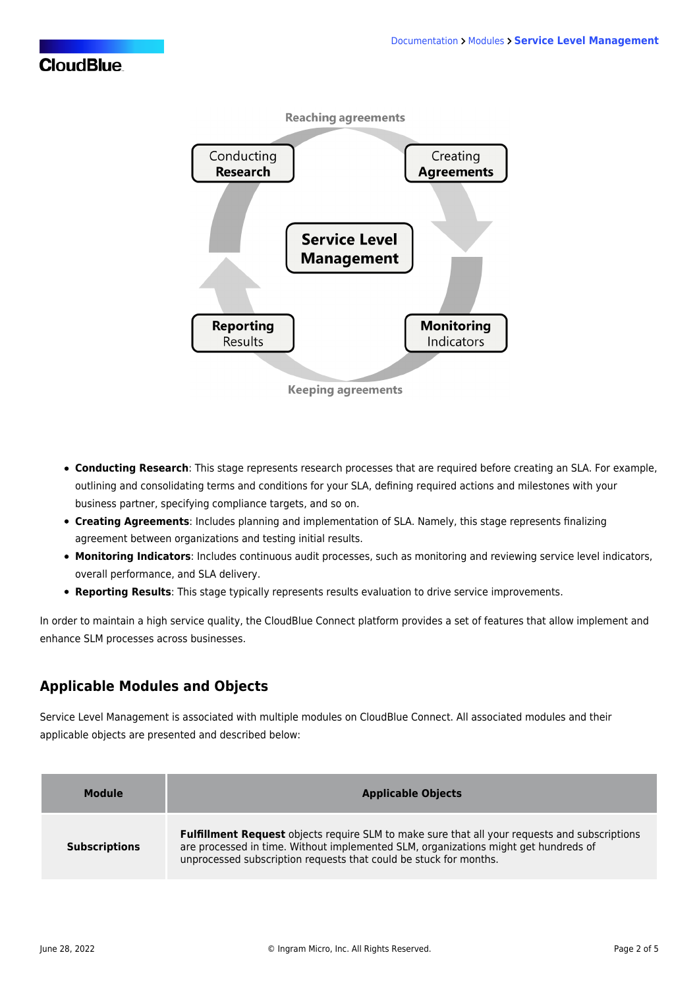

- **Conducting Research**: This stage represents research processes that are required before creating an SLA. For example, outlining and consolidating terms and conditions for your SLA, defining required actions and milestones with your business partner, specifying compliance targets, and so on.
- **Creating Agreements**: Includes planning and implementation of SLA. Namely, this stage represents finalizing agreement between organizations and testing initial results.
- **Monitoring Indicators**: Includes continuous audit processes, such as monitoring and reviewing service level indicators, overall performance, and SLA delivery.
- **Reporting Results**: This stage typically represents results evaluation to drive service improvements.

In order to maintain a high service quality, the CloudBlue Connect platform provides a set of features that allow implement and enhance SLM processes across businesses.

### **Applicable Modules and Objects**

Service Level Management is associated with multiple modules on CloudBlue Connect. All associated modules and their applicable objects are presented and described below:

| <b>Module</b>        | <b>Applicable Objects</b>                                                                                                                                                                                                                                        |
|----------------------|------------------------------------------------------------------------------------------------------------------------------------------------------------------------------------------------------------------------------------------------------------------|
| <b>Subscriptions</b> | <b>Fulfillment Request</b> objects require SLM to make sure that all your requests and subscriptions<br>are processed in time. Without implemented SLM, organizations might get hundreds of<br>unprocessed subscription requests that could be stuck for months. |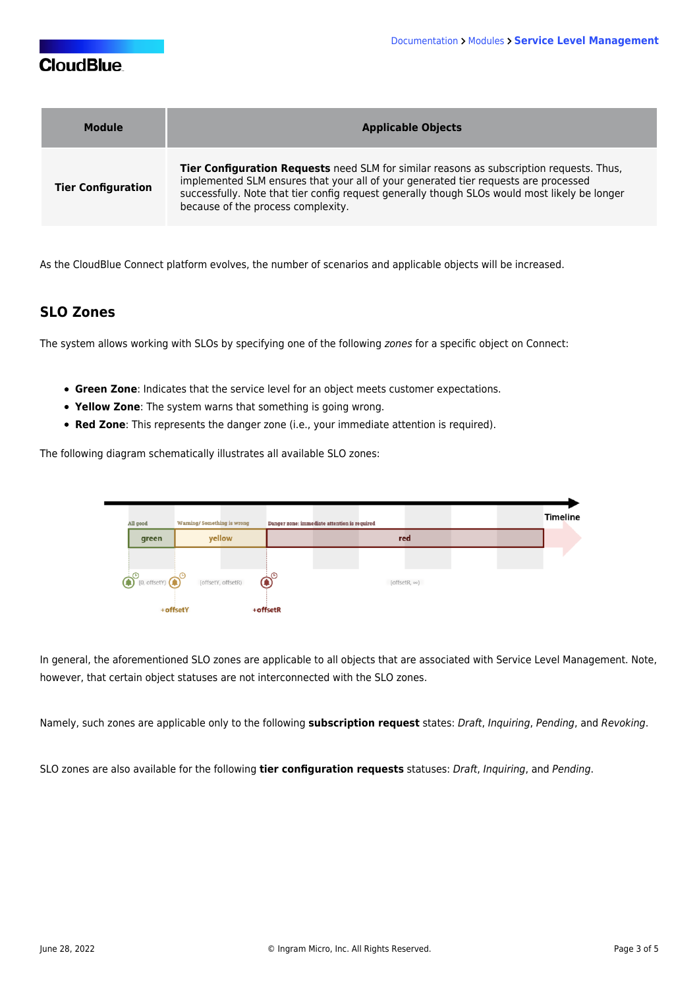| Module                    | <b>Applicable Objects</b>                                                                                                                                                                                                                                                                                                     |
|---------------------------|-------------------------------------------------------------------------------------------------------------------------------------------------------------------------------------------------------------------------------------------------------------------------------------------------------------------------------|
| <b>Tier Configuration</b> | <b>Tier Configuration Requests</b> need SLM for similar reasons as subscription requests. Thus,<br>implemented SLM ensures that your all of your generated tier requests are processed<br>successfully. Note that tier config request generally though SLOs would most likely be longer<br>because of the process complexity. |

As the CloudBlue Connect platform evolves, the number of scenarios and applicable objects will be increased.

#### **SLO Zones**

The system allows working with SLOs by specifying one of the following zones for a specific object on Connect:

- **Green Zone**: Indicates that the service level for an object meets customer expectations.
- **Yellow Zone**: The system warns that something is going wrong.
- **Red Zone**: This represents the danger zone (i.e., your immediate attention is required).

The following diagram schematically illustrates all available SLO zones:



In general, the aforementioned SLO zones are applicable to all objects that are associated with Service Level Management. Note, however, that certain object statuses are not interconnected with the SLO zones.

Namely, such zones are applicable only to the following **subscription request** states: Draft, Inquiring, Pending, and Revoking.

SLO zones are also available for the following **tier configuration requests** statuses: Draft, Inquiring, and Pending.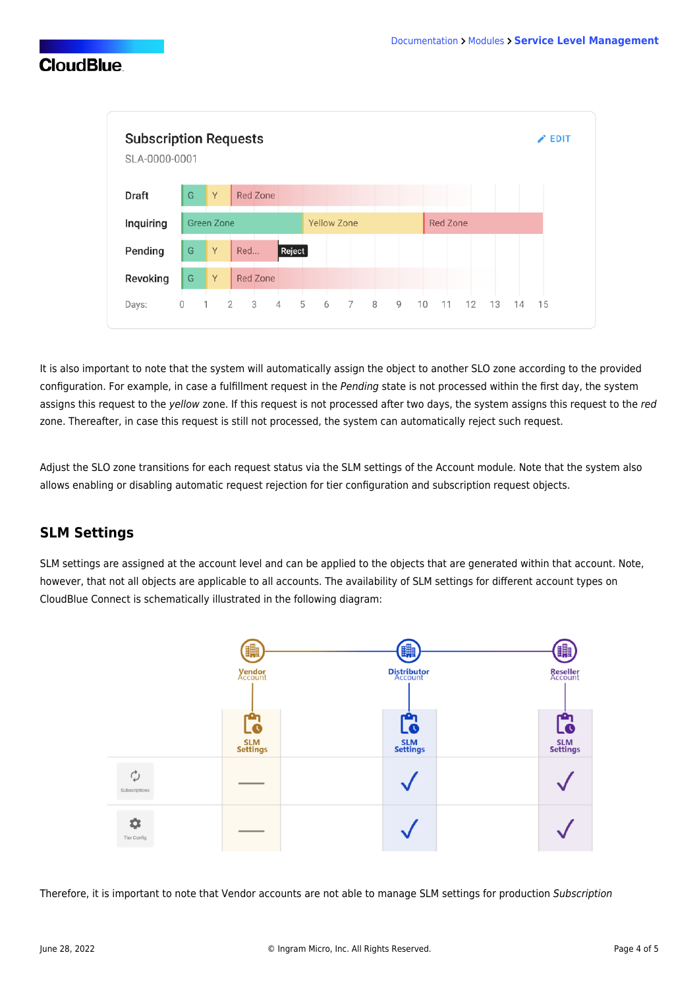

It is also important to note that the system will automatically assign the object to another SLO zone according to the provided configuration. For example, in case a fulfillment request in the Pending state is not processed within the first day, the system assigns this request to the yellow zone. If this request is not processed after two days, the system assigns this request to the red zone. Thereafter, in case this request is still not processed, the system can automatically reject such request.

Adjust the SLO zone transitions for each request status via the SLM settings of the Account module. Note that the system also allows enabling or disabling automatic request rejection for tier configuration and subscription request objects.

#### **SLM Settings**

SLM settings are assigned at the account level and can be applied to the objects that are generated within that account. Note, however, that not all objects are applicable to all accounts. The availability of SLM settings for different account types on CloudBlue Connect is schematically illustrated in the following diagram:



Therefore, it is important to note that Vendor accounts are not able to manage SLM settings for production Subscription